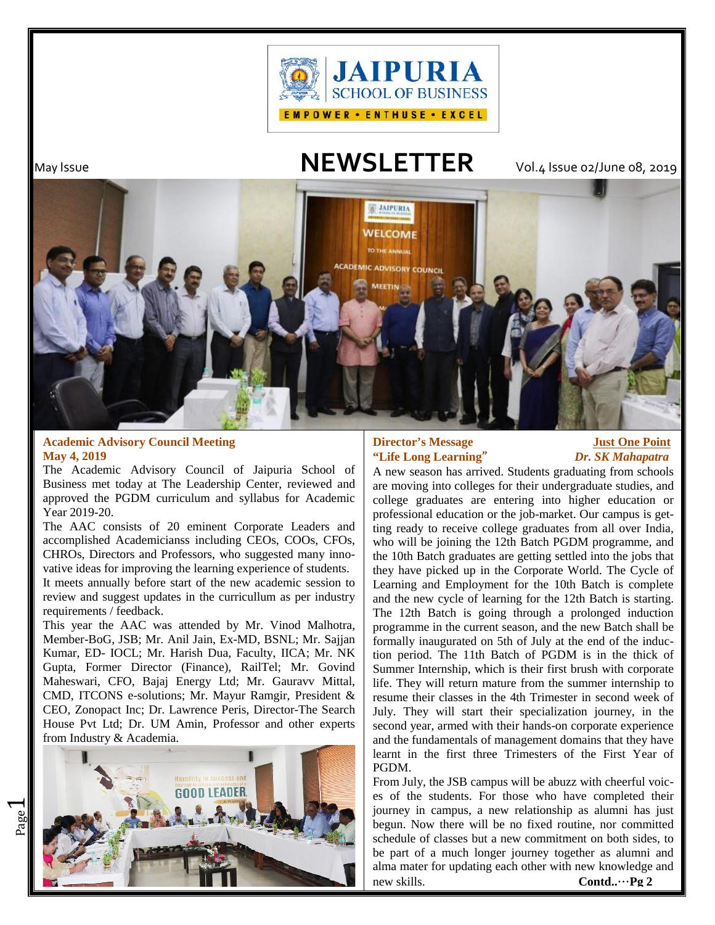

 $\overline{\phantom{0}}$ 

# May Issue **NEWSLETTER** Vol.4 Issue 02/June 08, 2019



### **Academic Advisory Council Meeting May 4, 2019**

The Academic Advisory Council of Jaipuria School of Business met today at The Leadership Center, reviewed and approved the PGDM curriculum and syllabus for Academic Year 2019-20.

The AAC consists of 20 eminent Corporate Leaders and accomplished Academicianss including CEOs, COOs, CFOs, CHROs, Directors and Professors, who suggested many innovative ideas for improving the learning experience of students.

It meets annually before start of the new academic session to review and suggest updates in the curricullum as per industry requirements / feedback.

This year the AAC was attended by Mr. Vinod Malhotra, Member-BoG, JSB; Mr. Anil Jain, Ex-MD, BSNL; Mr. Sajjan Kumar, ED- IOCL; Mr. Harish Dua, Faculty, IICA; Mr. NK Gupta, Former Director (Finance), RailTel; Mr. Govind Maheswari, CFO, Bajaj Energy Ltd; Mr. Gauravv Mittal, CMD, ITCONS e-solutions; Mr. Mayur Ramgir, President & CEO, Zonopact Inc; Dr. Lawrence Peris, Director-The Search House Pvt Ltd; Dr. UM Amin, Professor and other experts from Industry & Academia.



# **Director's Message 31 Just One Point "Life Long Learning"** *Dr. SK Mahapatra*

A new season has arrived. Students graduating from schools are moving into colleges for their undergraduate studies, and college graduates are entering into higher education or professional education or the job-market. Our campus is getting ready to receive college graduates from all over India, who will be joining the 12th Batch PGDM programme, and the 10th Batch graduates are getting settled into the jobs that they have picked up in the Corporate World. The Cycle of Learning and Employment for the 10th Batch is complete and the new cycle of learning for the 12th Batch is starting. The 12th Batch is going through a prolonged induction programme in the current season, and the new Batch shall be formally inaugurated on 5th of July at the end of the induction period. The 11th Batch of PGDM is in the thick of Summer Internship, which is their first brush with corporate life. They will return mature from the summer internship to resume their classes in the 4th Trimester in second week of July. They will start their specialization journey, in the second year, armed with their hands-on corporate experience and the fundamentals of management domains that they have learnt in the first three Trimesters of the First Year of PGDM.

From July, the JSB campus will be abuzz with cheerful voices of the students. For those who have completed their journey in campus, a new relationship as alumni has just begun. Now there will be no fixed routine, nor committed schedule of classes but a new commitment on both sides, to be part of a much longer journey together as alumni and alma mater for updating each other with new knowledge and new skills. **Contd..…Pg 2**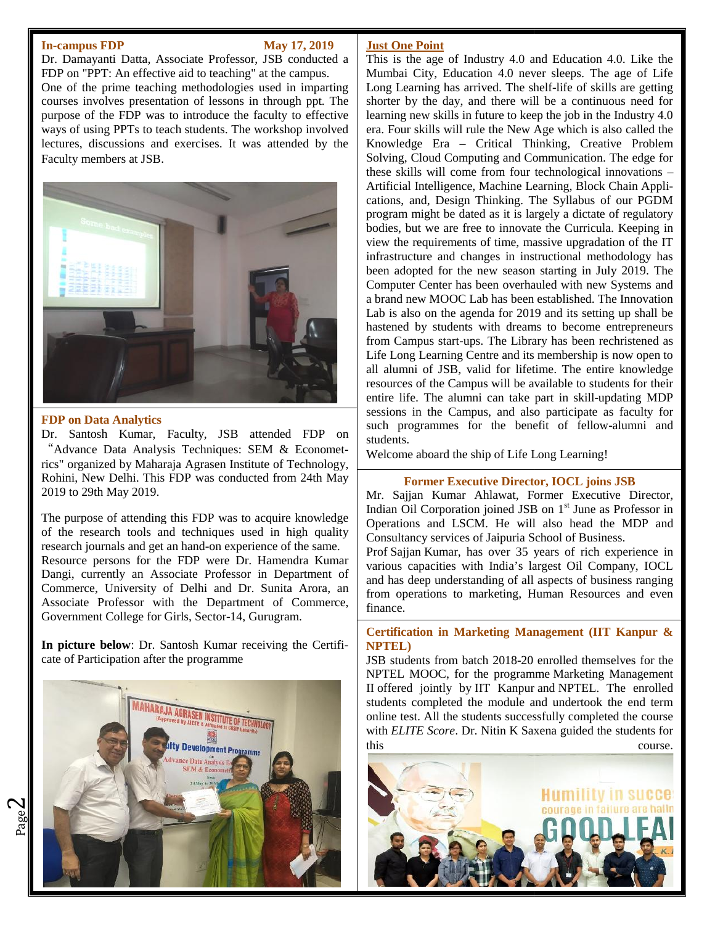#### **In-campus FDP May 17, 2019**

Dr. Damayanti Datta, Associate Professor, JSB conducted a FDP on "PPT: An effective aid to teaching" at the campus. One of the prime teaching methodologies used in imparting courses involves presentation of lessons in through ppt. The purpose of the FDP was to introduce the faculty to effective ways of using PPTs to teach students. The workshop involved lectures, discussions and exercises. It was attended by the Faculty members at JSB.



#### **FDP on Data Analytics**

 $\mathbf{\sim}$ 

Dr. Santosh Kumar, Faculty, JSB attended FDP on "Advance Data Analysis Techniques: SEM & Econometrics" organized by Maharaja Agrasen Institute of Technology, Rohini, New Delhi. This FDP was conducted from 24th May 2019 to 29th May 2019.

The purpose of attending this FDP was to acquire knowledge of the research tools and techniques used in high quality research journals and get an hand-on experience of the same. Resource persons for the FDP were Dr. Hamendra Kumar Dangi, currently an Associate Professor in Department of Commerce, University of Delhi and Dr. Sunita Arora, an Associate Professor with the Department of Commerce, Government College for Girls, Sector-14, Gurugram. FOP on Data Analytics<br>
Tr. Santosh Kumar, Faculty, JSB attended FDP on<br>
"Advance Data Analysis Techniques: SEM & Economet-<br>
"Kolimi, New Delhi. This FDP was conducted from 24th May<br>
Rohini, New Delhi. This FDP was conducte 2019 to 29th May 2019.<br>The purpose of attending this FDP was to acquire knowledge<br>of the research tools and techniques used in high quality<br>research journals and get an hand-on experience of the same.<br>Resource persons for

In picture below: Dr. Santosh Kumar receiving the Certificate of Participation after the programme



#### **Just One Point**

This is the age of Industry 4.0 and Education 4.0. Like the Mumbai City, Education 4.0 never sleeps. The age of Life Long Learning has arrived. The shelf-life of skills are getting shorter by the day, and there will be a continuous need for learning new skills in future to keep the job in the Industry 4.0 era. Four skills will rule the New Age which is also called the Knowledge Era – Critical Thinking, Creative Problem Solving, Cloud Computing and Communication. The edge for these skills will come from four technological innovations – Artificial Intelligence, Machine Learning, Block Chain Applications, and, Design Thinking. The Syllabus of our PGDM program might be dated as it is largely a dictate of regulatory program might be dated as it is largely a dictate of regulatory bodies, but we are free to innovate the Curricula. Keeping in view the requirements of time, massive upgradation of the IT infrastructure and changes in instructional methodology has been adopted for the new season starting in July 2019. The Computer Center has been overhauled with new Systems and a brand new MOOC Lab has been established. The Innovation Lab is also on the agenda for 2019 and its setting up shall be hastened by students with dreams to become entrepreneurs from Campus start-ups. The Library has been rechristened as Life Long Learning Centre and its membership is now open to all alumni of JSB, valid for lifetime. The entire knowledge resources of the Campus will be available to students for their entire life. The alumni can take part in skill-updating MDP sessions in the Campus, and also participate as faculty for such programmes for the benefit of fellow-alumni and students. such programmes for the benefit of fellow-alum<br>students.<br>Welcome aboard the ship of Life Long Learning! The content detection of the same of the same  $\frac{1}{2}$  and  $\frac{1}{2}$  and  $\frac{1}{2}$  and  $\frac{1}{2}$  and  $\frac{1}{2}$  and  $\frac{1}{2}$  and  $\frac{1}{2}$  and  $\frac{1}{2}$  and  $\frac{1}{2}$  and  $\frac{1}{2}$  and  $\frac{1}{2}$  and  $\frac{1}{2}$  and  $\frac{1}{2$ Example of the skills in the skills in the skills in the skills in the skills of the skills the skills of the skills of the skills of the skills the skills of the skills of the skills of the skills the skills of the skill view the requirements of time, massive upgradation of the IT<br>infrastructure and changes in instructional methodology has<br>been adopted for the new season starting in July 2019. The<br>Computer Center has been overhauled with n

### **Former Executive Director, IOCL joins JSB**

Mr. Sajjan Kumar Ahlawat, Former Executive Director, Indian Oil Corporation joined JSB on  $1<sup>st</sup>$  June as Professor in Operations and LSCM. He will also head the MDP and Consultancy services of Jaipuria School of Business.

Prof Sajjan Kumar, has over 35 years of rich experience in various capacities with India's largest Oil Company, IOCL and has deep understanding of all aspects of business ranging  $\parallel$ from operations to marketing, Human Resources and even finance.

### **Certification in Marketing Management (IIT Kanpur & NPTEL)**

JSB students from batch 2018-20 enrolled themselves for the NPTEL MOOC, for the programme Marketing Management II offered jointly by IIT Kanpur and NPTEL. The enrolled students completed the module and undertook the end term online test. All the students successfully completed the course with *ELITE Score*. Dr. Nitin K Saxena guided the students for students completed the module and undertook the end term<br>online test. All the students successfully completed the course<br>with *ELITE Score*. Dr. Nitin K Saxena guided the students for<br>this

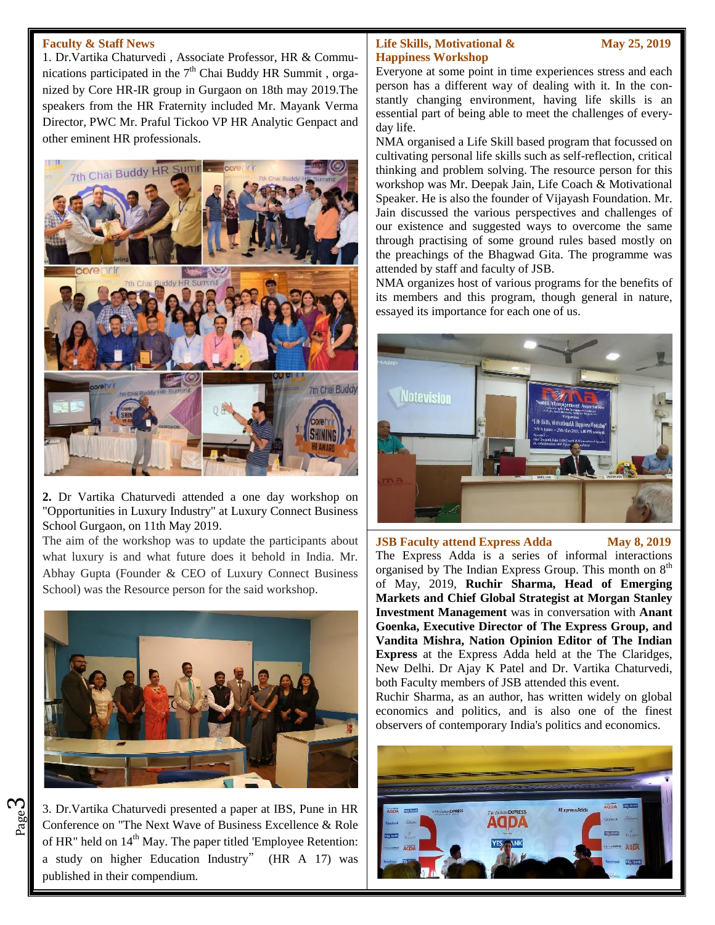#### **Faculty & Staff News**

1. Dr.Vartika Chaturvedi , Associate Professor, HR & Communications participated in the  $7<sup>th</sup>$  Chai Buddy HR Summit, organized by Core HR-IR group in Gurgaon on 18th may 2019.The speakers from the HR Fraternity included Mr. Mayank Verma Director, PWC Mr. Praful Tickoo VP HR Analytic Genpact and other eminent HR professionals.



**2.** Dr Vartika Chaturvedi attended a one day workshop on "Opportunities in Luxury Industry" at Luxury Connect Business School Gurgaon, on 11th May 2019.

The aim of the workshop was to update the participants about what luxury is and what future does it behold in India. Mr. Abhay Gupta (Founder & CEO of Luxury Connect Business School) was the Resource person for the said workshop.



 $\frac{80}{20}$  Conference on "The Next Wave of Business Excellence & Role 3. Dr.Vartika Chaturvedi presented a paper at IBS, Pune in HR of HR" held on  $14<sup>th</sup>$  May. The paper titled 'Employee Retention: a study on higher Education Industry" (HR A 17) was published in their compendium.

ო

### **Life Skills, Motivational & May 25, 2019 Happiness Workshop**

Everyone at some point in time experiences stress and each person has a different way of dealing with it. In the constantly changing environment, having life skills is an essential part of being able to meet the challenges of everyday life.

NMA organised a Life Skill based program that focussed on cultivating personal life skills such as self-reflection, critical thinking and problem solving. The resource person for this workshop was Mr. Deepak Jain, Life Coach & Motivational Speaker. He is also the founder of Vijayash Foundation. Mr. Jain discussed the various perspectives and challenges of our existence and suggested ways to overcome the same through practising of some ground rules based mostly on the preachings of the Bhagwad Gita. The programme was attended by staff and faculty of JSB.

NMA organizes host of various programs for the benefits of its members and this program, though general in nature, essayed its importance for each one of us.



**JSB Faculty attend Express Adda May 8, 2019** The Express Adda is a series of informal interactions organised by The Indian Express Group. This month on 8<sup>th</sup> of May, 2019, **Ruchir Sharma, Head of Emerging Markets and Chief Global Strategist at Morgan Stanley Investment Management** was in conversation with **Anant Goenka, Executive Director of The Express Group, and Vandita Mishra, Nation Opinion Editor of The Indian Express** at the Express Adda held at the The Claridges, New Delhi. Dr Ajay K Patel and Dr. Vartika Chaturvedi, both Faculty members of JSB attended this event.

Ruchir Sharma, as an author, has written widely on global economics and politics, and is also one of the finest observers of contemporary India's politics and economics.